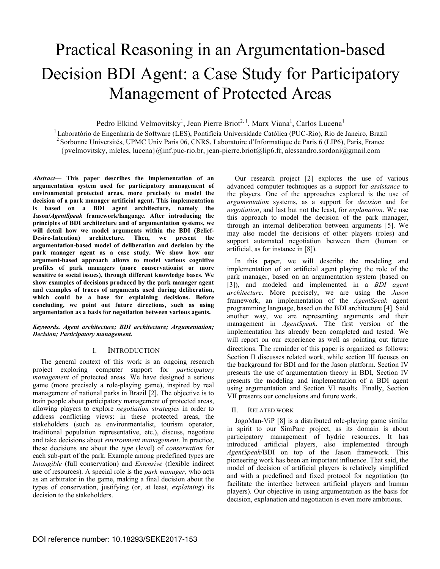# Practical Reasoning in an Argumentation-based Decision BDI Agent: a Case Study for Participatory Management of Protected Areas

Pedro Elkind Velmovitsky<sup>1</sup>, Jean Pierre Briot<sup>2, 1</sup>, Marx Viana<sup>1</sup>, Carlos Lucena<sup>1</sup>

<sup>1</sup> Laboratório de Engenharia de Software (LES), Pontifícia Universidade Católica (PUC-Rio), Rio de Janeiro, Brazil <sup>2</sup> Sorbonne Universités, UPMC Univ Paris 06, CNRS, Laboratoire d'Informatique de Paris 6 (LIP6), Paris, {pvelmovitsky, mleles, lucena}@inf.puc-rio.br, jean-pierre.briot@lip6.fr, alessandro.sordoni@gmail.com

*Abstract***— This paper describes the implementation of an argumentation system used for participatory management of environmental protected areas, more precisely to model the decision of a park manager artificial agent. This implementation is based on a BDI agent architecture, namely the Jason/***AgentSpeak* **framework/language. After introducing the principles of BDI architecture and of argumentation systems, we will detail how we model arguments within the BDI (Belief-Desire-Intention) architecture. Then, we present the argumentation-based model of deliberation and decision by the park manager agent as a case study. We show how our argument-based approach allows to model various cognitive profiles of park managers (more conservationist or more sensitive to social issues), through different knowledge bases. We show examples of decisions produced by the park manager agent and examples of traces of arguments used during deliberation, which could be a base for explaining decisions. Before concluding, we point out future directions, such as using argumentation as a basis for negotiation between various agents.**

## *Keywords. Agent architecture; BDI architecture; Argumentation; Decision; Participatory management.*

# I. INTRODUCTION

The general context of this work is an ongoing research project exploring computer support for *participatory management* of protected areas. We have designed a serious game (more precisely a role-playing game), inspired by real management of national parks in Brazil [2]. The objective is to train people about participatory management of protected areas, allowing players to explore *negotiation strategies* in order to address conflicting views: in these protected areas, the stakeholders (such as environmentalist, tourism operator, traditional population representative, etc.), discuss, negotiate and take decisions about *environment management*. In practice, these decisions are about the *type* (level) of *conservation* for each sub-part of the park. Example among predefined types are *Intangible* (full conservation) and *Extensive* (flexible indirect use of resources). A special role is the *park manager*, who acts as an arbitrator in the game, making a final decision about the types of conservation, justifying (or, at least, *explaining*) its decision to the stakeholders.

Our research project [2] explores the use of various advanced computer techniques as a support for *assistance* to the players. One of the approaches explored is the use of *argumentation* systems, as a support for *decision* and for *negotiation*, and last but not the least, for *explanation*. We use this approach to model the decision of the park manager, through an internal deliberation between arguments [5]. We may also model the decisions of other players (roles) and support automated negotiation between them (human or artificial, as for instance in [8]).

In this paper, we will describe the modeling and implementation of an artificial agent playing the role of the park manager, based on an argumentation system (based on [3]), and modeled and implemented in a *BDI agent architecture*. More precisely, we are using the *Jason* framework, an implementation of the *AgentSpeak* agent programming language, based on the BDI architecture [4]. Said another way, we are representing arguments and their management in *AgentSpeak*. The first version of the implementation has already been completed and tested. We will report on our experience as well as pointing out future directions. The reminder of this paper is organized as follows: Section II discusses related work, while section III focuses on the background for BDI and for the Jason platform. Section IV presents the use of argumentation theory in BDI, Section IV presents the modeling and implementation of a BDI agent using argumentation and Section VI results. Finally, Section VII presents our conclusions and future work.

# II. RELATED WORK

JogoMan-ViP [8] is a distributed role-playing game similar in spirit to our SimParc project, as its domain is about participatory management of hydric resources. It has introduced artificial players, also implemented through *AgentSpeak*/BDI on top of the Jason framework. This pioneering work has been an important influence. That said, the model of decision of artificial players is relatively simplified and with a predefined and fixed protocol for negotiation (to facilitate the interface between artificial players and human players). Our objective in using argumentation as the basis for decision, explanation and negotiation is even more ambitious.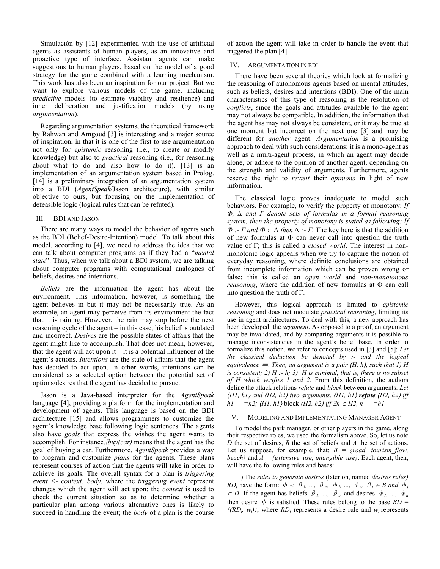Simulación by [12] experimented with the use of artificial agents as assistants of human players, as an innovative and proactive type of interface. Assistant agents can make suggestions to human players, based on the model of a good strategy for the game combined with a learning mechanism. This work has also been an inspiration for our project. But we want to explore various models of the game, including *predictive* models (to estimate viability and resilience) and inner deliberation and justification models (by using *argumentation*).

Regarding argumentation systems, the theoretical framework by Rahwan and Amgoud [3] is interesting and a major source of inspiration, in that it is one of the first to use argumentation not only for *epistemic* reasoning (i.e., to create or modify knowledge) but also to *practical* reasoning (i.e., for reasoning about what to do and also how to do it). [13] is an implementation of an argumentation system based in Prolog. [14] is a preliminary integration of an argumentation system into a BDI (*AgentSpeak*/Jason architecture), with similar objective to ours, but focusing on the implementation of defeasible logic (logical rules that can be refuted).

## III. BDI AND JASON

There are many ways to model the behavior of agents such as the BDI (Belief-Desire-Intention) model. To talk about this model, according to [4], we need to address the idea that we can talk about computer programs as if they had a "*mental state*". Thus, when we talk about a BDI system, we are talking about computer programs with computational analogues of beliefs, desires and intentions.

*Beliefs* are the information the agent has about the environment. This information, however, is something the agent believes in but it may not be necessarily true. As an example, an agent may perceive from its environment the fact that it is raining. However, the rain may stop before the next reasoning cycle of the agent – in this case, his belief is outdated and incorrect. *Desires* are the possible states of affairs that the agent might like to accomplish. That does not mean, however, that the agent will act upon it  $-$  it is a potential influencer of the agent's actions. *Intentions* are the state of affairs that the agent has decided to act upon. In other words, intentions can be considered as a selected option between the potential set of options/desires that the agent has decided to pursue.

Jason is a Java-based interpreter for the *AgentSpeak* language [4], providing a platform for the implementation and development of agents. This language is based on the BDI architecture [15] and allows programmers to customize the agent's knowledge base following logic sentences. The agents also have *goals* that express the wishes the agent wants to accomplish. For instance*,!buy(car)* means that the agent has the goal of buying a car. Furthermore, *AgentSpeak* provides a way to program and customize *plans* for the agents. These plans represent courses of action that the agents will take in order to achieve its goals. The overall syntax for a plan is *triggering event <- context: body*, where the *triggering event* represent changes which the agent will act upon; the *context* is used to check the current situation so as to determine whether a particular plan among various alternative ones is likely to succeed in handling the event; the *body* of a plan is the course

of action the agent will take in order to handle the event that triggered the plan [4].

## IV. ARGUMENTATION IN BDI

There have been several theories which look at formalizing the reasoning of autonomous agents based on mental attitudes, such as beliefs, desires and intentions (BDI). One of the main characteristics of this type of reasoning is the resolution of *conflicts*, since the goals and attitudes available to the agent may not always be compatible. In addition, the information that the agent has may not always be consistent, or it may be true at one moment but incorrect on the next one [3] and may be different for *another* agent. *Argumentation* is a promising approach to deal with such considerations: it is a mono-agent as well as a multi-agent process, in which an agent may decide alone, or adhere to the opinion of another agent, depending on the strength and validity of arguments. Furthermore, agents reserve the right to *revisit* their *opinions* in light of new information.

The classical logic proves inadequate to model such behaviors. For example, to verify the property of monotony: *If Φ, ∆ and Γ denote sets of formulas in a formal reasoning system, then the property of monotony is stated as following: If*   $\Phi$  *:- Γ* and  $\Phi \subset \Delta$  then  $\Delta$  *:- Γ*. The key here is that the addition of new formulas at  $\Phi$  can never call into question the truth value of Γ; this is called a *closed world*. The interest in nonmonotonic logic appears when we try to capture the notion of everyday reasoning, where definite conclusions are obtained from incomplete information which can be proven wrong or false; this is called an *open world* and *non-monotonous reasoning*, where the addition of new formulas at Φ can call into question the truth of Γ.

However, this logical approach is limited to *epistemic reasoning* and does not modulate *practical reasoning*, limiting its use in agent architectures. To deal with this, a new approach has been developed: the *argument*. As opposed to a proof, an argument may be invalidated, and by comparing arguments it is possible to manage inconsistencies in the agent's belief base. In order to formalize this notion, we refer to concepts used in [3] and [5]: *Let the classical deduction be denoted by :- and the logical equivalence*  $\equiv$  *Then, an argument is a pair*  $(H, h)$ *, such that 1) H is consistent;* 2)  $H : -h$ ; 3)  $H$  *is minimal, that is, there is no subset of H which verifies 1 and 2.* From this definition, the authors define the attack relations *refute* and *block* between arguments: *Let*  ⟨*H1, h1*⟩ *and* ⟨*H2, h2*⟩ *two arguments.* ⟨*H1, h1*⟩ *refute* ⟨*H2, h2*⟩ *iff*   $hI \equiv \neg h2$ ;  $\langle HI, hI \rangle$  block  $\langle H2, h2 \rangle$  *iff*  $\exists h \in H2, h \equiv \neg hI$ .

### V. MODELING AND IMPLEMENTATING MANAGER AGENT

To model the park manager, or other players in the game, along their respective roles, we used the formalism above. So, let us note *D* the set of desires, *B* the set of beliefs and *A* the set of actions. Let us suppose, for example, that:  $B = \{road, tourism-flow,$ *beach*} and  $A = \{extensive\_use, intangible\_use\}$ . Each agent, then, will have the following rules and bases:

1) The *rules to generate desires* (later on, named *desires rules) RD<sub>i</sub>* have the form:  $\phi$  *-:*  $\beta$ <sub>*l</sub>*, ...,  $\beta$ <sub>*m*</sub>,  $\phi$ <sub>*l*</sub>, ...,  $\phi$ <sub>*n*</sub>,  $\beta$ <sub>*i*</sub>  $\in$  *B* and  $\phi$ *i*</sub>  $\in$  *D*. If the agent has beliefs  $\beta$ <sub>*l</sub>*, ...,  $\beta$ <sub>*m*</sub> and desires  $\phi$ <sub>*l*</sub>, ...,  $\phi$ <sub>*n*</sub></sub> then desire  $\phi$  is satisfied. These rules belong to the base  $BD =$  $\{(RD_i, w_i)\}\$ , where  $RD_i$  represents a desire rule and  $w_i$  represents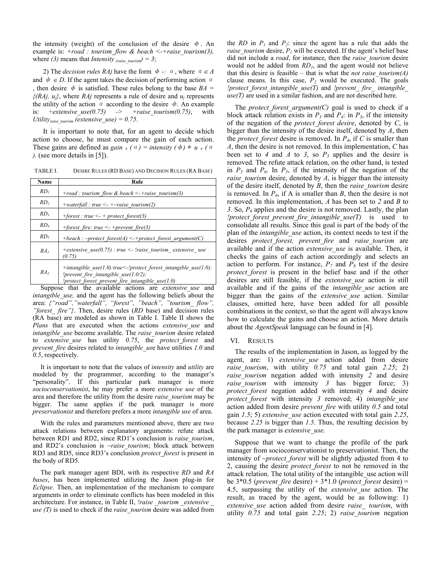the intensity (weight) of the conclusion of the desire  $\phi$ . An example is: *+road : tourism\_flow & beach <-+raise\_tourism(3),* where (3) means that *Intensity* (raise tourism) = 3;

2) The *decision rules RAj* have the form  $\phi$  -:  $\alpha$ , where  $\alpha \in A$ and  $\phi \in D$ . If the agent takes the decision of performing action  $\alpha$ , then desire  $\phi$  is satisfied. These rules belong to the base  $BA =$ *{(RAj, uj}*, where *RAj* represents a rule of desire and *uj* represents the utility of the action  $\alpha$  according to the desire  $\phi$ . An example is:  $+extensive use(0.75) \rightarrow +raise~to~ turn(0.75)$ , with *Utilityraise\_tourism (extensive\_use) = 0.75*.

It is important to note that, for an agent to decide which action to choose, he must compare the gain of each action. These gains are defined as *gain*  $\phi$  (a) = intensity ( $\phi$ ) \* u  $\phi$  (a) *).* (see more details in [5]).

TABLE I. DESIRE RULES (RD BASE) AND DECISION RULES (RA BASE)

| Name            | Rule                                                                                                                                                                |
|-----------------|---------------------------------------------------------------------------------------------------------------------------------------------------------------------|
| RD <sub>1</sub> | +road : tourism flow & beach <-+raise tourism(3)                                                                                                                    |
| RD <sub>2</sub> | +waterfall : true <- + $\sim$ raise tourism(2)                                                                                                                      |
| RD <sub>3</sub> | +forest : true $\le$ + protect forest(3)                                                                                                                            |
| RD <sub>4</sub> | +forest fire: true $\leq$ -+prevent fire(3)                                                                                                                         |
| RD <sub>5</sub> | +beach : ~protect forest(A) <-+protect forest argument(C)                                                                                                           |
| RA <sub>1</sub> | +extensive use(0.75) : true <- !raise tourism extensive use<br>(0.75)                                                                                               |
| RA <sub>2</sub> | +intangible use(1.0):true <-!protect forest intangible use(1.0);<br>!prevent fire intangible use $(1.0/2)$ ;<br>!protect forest prevent fire intangible use $(1.0)$ |

Suppose that the available actions are *extensive use* and *intangible use*, and the agent has the following beliefs about the area: *{"road","waterfall", "forest", "beach", "tourism\_ flow", "forest\_ fire"}*. Then, desire rules (*RD* base) and decision rules (RA base) are modeled as shown in Table I. Table II shows the *Plans* that are executed when the actions *extensive use* and *intangible\_use* become available. The *raise\_tourism* desire related to *extensive\_use* has utility *0.75*, the *protect\_forest* and *prevent\_fire* desires related to *intangible\_us*e have utilities *1.0* and *0.5*, respectively.

It is important to note that the values of *intensity* and *utility* are modeled by the programmer, according to the manager's "personality". If this particular park manager is more *socioconservationist*, he may prefer a more *extensive use* of the area and therefore the utility from the desire *raise\_tourism* may be bigger. The same applies if the park manager is more *preservationist* and therefore prefers a more *intangible use* of area.

With the rules and parameters mentioned above, there are two attack relations between explanatory arguments: refute attack between RD1 and RD2, since RD1's conclusion is *raise\_tourism*, and RD2's conclusion is *~raise tourism*; block attack between RD3 and RD5, since RD3's conclusion *protect\_forest* is present in the body of RD5.

The park manager agent BDI, with its respective *RD* and *RA bases*, has been implemented utilizing the Jason plug-in for *Eclipse*. Then, an implementation of the mechanism to compare arguments in order to eliminate conflicts has been modeled in this architecture. For instance, in Table II, *!raise tourism extensive use (T)* is used to check if the *raise\_tourism* desire was added from the *RD* in  $P_1$  and  $P_2$ : since the agent has a rule that adds the *raise tourism* desire,  $P<sub>I</sub>$  will be executed. If the agent's belief base did not include a *road*, for instance, then the *raise\_tourism* desire would not be added from  $RD<sub>I</sub>$ , and the agent would not believe that this desire is feasible – that is what the *not raise\_tourism(A)* clause means. In this case,  $P_2$  would be executed. The goals *!protect\_forest\_intangible\_use(T)* and *!prevent\_ fire\_ intangible\_ use(T)* are used in a similar fashion, and are not described here.

The *protect forest argument(C)* goal is used to check if a block attack relation exists in  $P_3$  and  $P_4$ : in  $P_3$ , if the intensity of the negation of the *protect\_forest desire*, denoted by *C*, is bigger than the intensity of the desire itself, denoted by *A*, then the *protect forest* desire is removed. In  $P_4$ , if *C* is smaller than *A*, then the desire is not removed. In this implementation, *C* has been set to 4 and A to 3, so  $P_3$  applies and the desire is removed. The refute attack relation, on the other hand, is tested in  $P_5$  and  $P_6$ . In  $P_5$ , if the intensity of the negation of the *raise\_tourism* desire, denoted by *A*, is bigger than the intensity of the desire itself, denoted by *B*, then the *raise\_tourism* desire is removed. In  $P_6$ , if A is smaller than *B*, then the desire is not removed. In this implementation, *A* has been set to *2* and *B* to *3*. So, *P6* applies and the desire is not removed. Lastly, the plan *!protect\_forest\_prevent\_fire\_intangible\_use(T)* is used to consolidate all results. Since this goal is part of the body of the plan of the *intangible\_use* action, its context needs to test if the desires *protect\_forest, prevent\_fire* and *raise\_tourism* are available and if the action *extensive\_use* is available. Then, it checks the gains of each action accordingly and selects an action to perform. For instance,  $P_7$  and  $P_8$  test if the desire *protect forest* is present in the belief base and if the other desires are still feasible, if the *extensive\_use* action is still available and if the gains of the *intangible\_use* action are bigger than the gains of the *extensive\_use* action. Similar clauses, omitted here, have been added for all possible combinations in the context, so that the agent will always know how to calculate the gains and choose an action. More details about the *AgentSpeak* language can be found in [4].

#### VI. RESULTS

The results of the implementation in Jason, as logged by the agent, are: 1) *extensive\_use* action added from desire *raise tourism*, with utility  $0.75$  and total gain  $2.25$ ; 2) *raise\_tourism* negation added with intensity *2* and desire *raise tourism* with intensity 3 has bigger force; 3) *protect\_forest* negation added with intensity *4* and desire *protect\_forest* with intensity *3* removed; 4) *intangible\_use* action added from desire *prevent\_fire* with utility *0.5* and total gain *1.5*; 5) *extensive\_use* action executed with total gain *2.25*, because *2.25* is bigger than *1.5*. Thus, the resulting decision by the park manager is *extensive\_use.*

Suppose that we want to change the profile of the park manager from socioconservationist to preservationist. Then, the intensity of *~protect\_forest* will be slightly adjusted from 4 to 2, causing the desire *protect\_forest* to not be removed in the attack relation. The total utility of the intangible\_use action will be 3\*0.5 (*prevent\_fire* desire) + 3\*1.0 (*protect\_forest* desire) = 4.5, surpassing the utility of the *extensive\_use* action. The result, as traced by the agent, would be as following: 1) *extensive\_use* action added from desire *raise\_ tourism*, with utility *0.75* and total gain *2.25*; 2) *raise\_tourism* negation